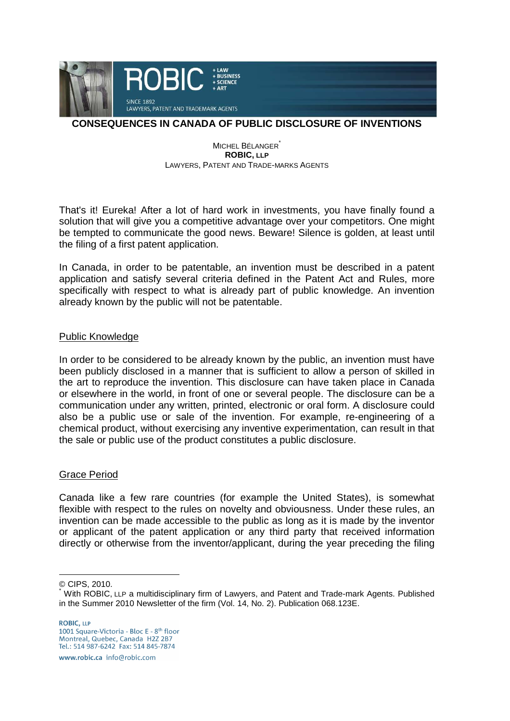

# **CONSEQUENCES IN CANADA OF PUBLIC DISCLOSURE OF INVENTIONS**

#### MICHEL BÉLANGER<sup>®</sup> **ROBIC, LLP** LAWYERS, PATENT AND TRADE-MARKS AGENTS

That's it! Eureka! After a lot of hard work in investments, you have finally found a solution that will give you a competitive advantage over your competitors. One might be tempted to communicate the good news. Beware! Silence is golden, at least until the filing of a first patent application.

In Canada, in order to be patentable, an invention must be described in a patent application and satisfy several criteria defined in the Patent Act and Rules, more specifically with respect to what is already part of public knowledge. An invention already known by the public will not be patentable.

## Public Knowledge

In order to be considered to be already known by the public, an invention must have been publicly disclosed in a manner that is sufficient to allow a person of skilled in the art to reproduce the invention. This disclosure can have taken place in Canada or elsewhere in the world, in front of one or several people. The disclosure can be a communication under any written, printed, electronic or oral form. A disclosure could also be a public use or sale of the invention. For example, re-engineering of a chemical product, without exercising any inventive experimentation, can result in that the sale or public use of the product constitutes a public disclosure.

## Grace Period

Canada like a few rare countries (for example the United States), is somewhat flexible with respect to the rules on novelty and obviousness. Under these rules, an invention can be made accessible to the public as long as it is made by the inventor or applicant of the patent application or any third party that received information directly or otherwise from the inventor/applicant, during the year preceding the filing

© CIPS, 2010.

 $\overline{a}$ 

www.robic.ca\_info@robic.com

<sup>\*</sup> With ROBIC, LLP a multidisciplinary firm of Lawyers, and Patent and Trade-mark Agents. Published in the Summer 2010 Newsletter of the firm (Vol. 14, No. 2). Publication 068.123E.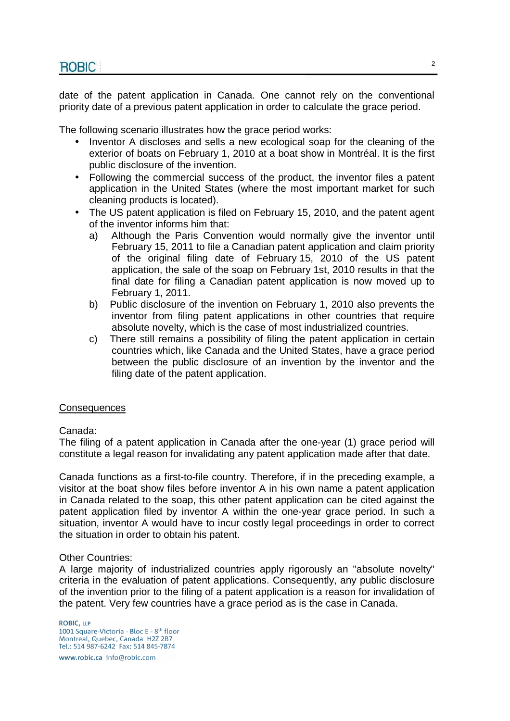date of the patent application in Canada. One cannot rely on the conventional priority date of a previous patent application in order to calculate the grace period.

The following scenario illustrates how the grace period works:

- Inventor A discloses and sells a new ecological soap for the cleaning of the exterior of boats on February 1, 2010 at a boat show in Montréal. It is the first public disclosure of the invention.
- Following the commercial success of the product, the inventor files a patent application in the United States (where the most important market for such cleaning products is located).
- The US patent application is filed on February 15, 2010, and the patent agent of the inventor informs him that:
	- a) Although the Paris Convention would normally give the inventor until February 15, 2011 to file a Canadian patent application and claim priority of the original filing date of February 15, 2010 of the US patent application, the sale of the soap on February 1st, 2010 results in that the final date for filing a Canadian patent application is now moved up to February 1, 2011.
	- b) Public disclosure of the invention on February 1, 2010 also prevents the inventor from filing patent applications in other countries that require absolute novelty, which is the case of most industrialized countries.
	- c) There still remains a possibility of filing the patent application in certain countries which, like Canada and the United States, have a grace period between the public disclosure of an invention by the inventor and the filing date of the patent application.

## **Consequences**

## Canada:

The filing of a patent application in Canada after the one-year (1) grace period will constitute a legal reason for invalidating any patent application made after that date.

Canada functions as a first-to-file country. Therefore, if in the preceding example, a visitor at the boat show files before inventor A in his own name a patent application in Canada related to the soap, this other patent application can be cited against the patent application filed by inventor A within the one-year grace period. In such a situation, inventor A would have to incur costly legal proceedings in order to correct the situation in order to obtain his patent.

## Other Countries:

A large majority of industrialized countries apply rigorously an "absolute novelty" criteria in the evaluation of patent applications. Consequently, any public disclosure of the invention prior to the filing of a patent application is a reason for invalidation of the patent. Very few countries have a grace period as is the case in Canada.

**ROBIC, LLP** 1001 Square-Victoria - Bloc E - 8<sup>th</sup> floor Montreal, Quebec, Canada H2Z 2B7<br>Tel.: 514 987-6242 Fax: 514 845-7874

www.robic.ca\_info@robic.com

 $\mathfrak{p}$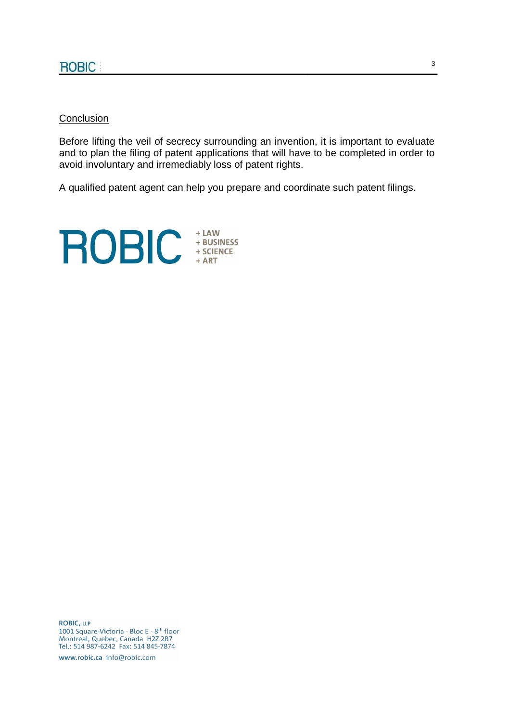#### Conclusion

Before lifting the veil of secrecy surrounding an invention, it is important to evaluate and to plan the filing of patent applications that will have to be completed in order to avoid involuntary and irremediably loss of patent rights.

A qualified patent agent can help you prepare and coordinate such patent filings.



**ROBIC, LLP** 1001 Square-Victoria - Bloc E - 8<sup>th</sup> floor Montreal, Quebec, Canada H2Z 2B7<br>Tel.: 514 987-6242 Fax: 514 845-7874

www.robic.ca info@robic.com